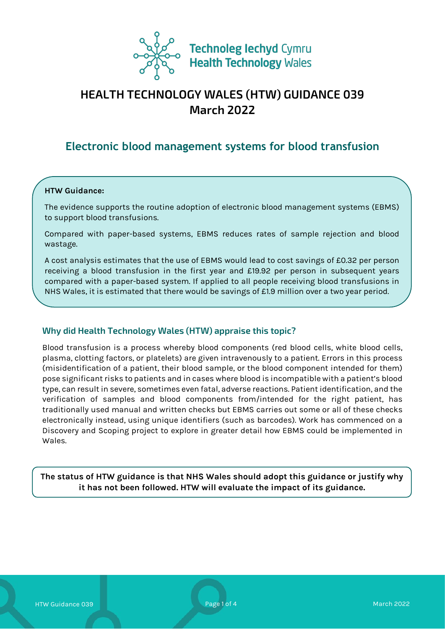

# **HEALTH TECHNOLOGY WALES (HTW) GUIDANCE 039 March 2022**

# **Electronic blood management systems for blood transfusion**

#### **HTW Guidance:**

The evidence supports the routine adoption of electronic blood management systems (EBMS) to support blood transfusions.

Compared with paper-based systems, EBMS reduces rates of sample rejection and blood wastage.

A cost analysis estimates that the use of EBMS would lead to cost savings of £0.32 per person receiving a blood transfusion in the first year and £19.92 per person in subsequent years compared with a paper-based system. If applied to all people receiving blood transfusions in NHS Wales, it is estimated that there would be savings of £1.9 million over a two year period.

## **Why did Health Technology Wales (HTW) appraise this topic?**

Blood transfusion is a process whereby blood components (red blood cells, white blood cells, plasma, clotting factors, or platelets) are given intravenously to a patient. Errors in this process (misidentification of a patient, their blood sample, or the blood component intended for them) pose significant risks to patients and in cases where blood is incompatible with a patient's blood type, can result in severe, sometimes even fatal, adverse reactions. Patient identification, and the verification of samples and blood components from/intended for the right patient, has traditionally used manual and written checks but EBMS carries out some or all of these checks electronically instead, using unique identifiers (such as barcodes). Work has commenced on a Discovery and Scoping project to explore in greater detail how EBMS could be implemented in Wales.

**The status of HTW guidance is that NHS Wales should adopt this guidance or justify why it has not been followed. HTW will evaluate the impact of its guidance.**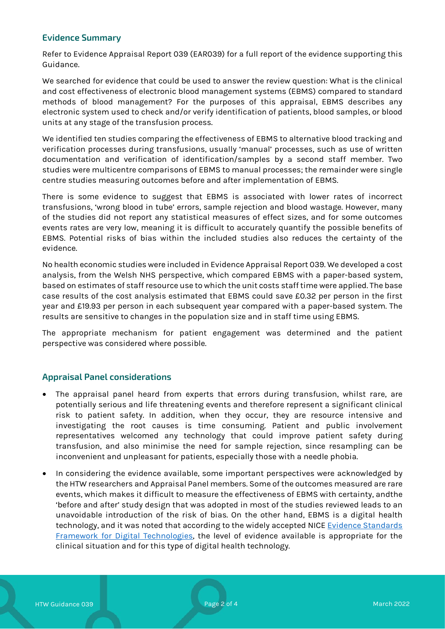### **Evidence Summary**

Refer to Evidence Appraisal Report 039 (EAR039) for a full report of the evidence supporting this Guidance.

We searched for evidence that could be used to answer the review question: What is the clinical and cost effectiveness of electronic blood management systems (EBMS) compared to standard methods of blood management? For the purposes of this appraisal, EBMS describes any electronic system used to check and/or verify identification of patients, blood samples, or blood units at any stage of the transfusion process.

We identified ten studies comparing the effectiveness of EBMS to alternative blood tracking and verification processes during transfusions, usually 'manual' processes, such as use of written documentation and verification of identification/samples by a second staff member. Two studies were multicentre comparisons of EBMS to manual processes; the remainder were single centre studies measuring outcomes before and after implementation of EBMS.

There is some evidence to suggest that EBMS is associated with lower rates of incorrect transfusions, 'wrong blood in tube' errors, sample rejection and blood wastage. However, many of the studies did not report any statistical measures of effect sizes, and for some outcomes events rates are very low, meaning it is difficult to accurately quantify the possible benefits of EBMS. Potential risks of bias within the included studies also reduces the certainty of the evidence.

No health economic studies were included in Evidence Appraisal Report 039. We developed a cost analysis, from the Welsh NHS perspective, which compared EBMS with a paper-based system, based on estimates of staff resource use to which the unit costs staff time were applied. The base case results of the cost analysis estimated that EBMS could save £0.32 per person in the first year and £19.93 per person in each subsequent year compared with a paper-based system. The results are sensitive to changes in the population size and in staff time using EBMS.

The appropriate mechanism for patient engagement was determined and the patient perspective was considered where possible.

#### **Appraisal Panel considerations**

- The appraisal panel heard from experts that errors during transfusion, whilst rare, are potentially serious and life threatening events and therefore represent a significant clinical risk to patient safety. In addition, when they occur, they are resource intensive and investigating the root causes is time consuming. Patient and public involvement representatives welcomed any technology that could improve patient safety during transfusion, and also minimise the need for sample rejection, since resampling can be inconvenient and unpleasant for patients, especially those with a needle phobia.
- In considering the evidence available, some important perspectives were acknowledged by the HTW researchers and Appraisal Panel members. Some of the outcomes measured are rare events, which makes it difficult to measure the effectiveness of EBMS with certainty, andthe 'before and after' study design that was adopted in most of the studies reviewed leads to an unavoidable introduction of the risk of bias. On the other hand, EBMS is a digital health technology, and it was noted that according to the widely accepted NICE Evidence Standards [Framework for Digital Technologies,](https://www.nice.org.uk/corporate/ecd7) the level of evidence available is appropriate for the clinical situation and for this type of digital health technology.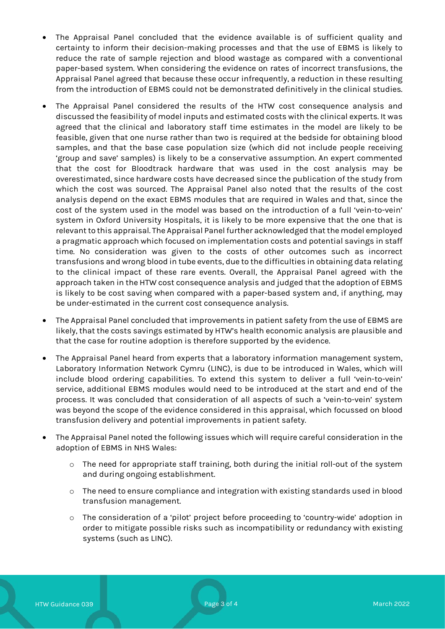- The Appraisal Panel concluded that the evidence available is of sufficient quality and certainty to inform their decision-making processes and that the use of EBMS is likely to reduce the rate of sample rejection and blood wastage as compared with a conventional paper-based system. When considering the evidence on rates of incorrect transfusions, the Appraisal Panel agreed that because these occur infrequently, a reduction in these resulting from the introduction of EBMS could not be demonstrated definitively in the clinical studies.
- The Appraisal Panel considered the results of the HTW cost consequence analysis and discussed the feasibility of model inputs and estimated costs with the clinical experts. It was agreed that the clinical and laboratory staff time estimates in the model are likely to be feasible, given that one nurse rather than two is required at the bedside for obtaining blood samples, and that the base case population size (which did not include people receiving 'group and save' samples) is likely to be a conservative assumption. An expert commented that the cost for Bloodtrack hardware that was used in the cost analysis may be overestimated, since hardware costs have decreased since the publication of the study from which the cost was sourced. The Appraisal Panel also noted that the results of the cost analysis depend on the exact EBMS modules that are required in Wales and that, since the cost of the system used in the model was based on the introduction of a full 'vein-to-vein' system in Oxford University Hospitals, it is likely to be more expensive that the one that is relevant to this appraisal. The Appraisal Panel further acknowledged that the model employed a pragmatic approach which focused on implementation costs and potential savings in staff time. No consideration was given to the costs of other outcomes such as incorrect transfusions and wrong blood in tube events, due to the difficulties in obtaining data relating to the clinical impact of these rare events. Overall, the Appraisal Panel agreed with the approach taken in the HTW cost consequence analysis and judged that the adoption of EBMS is likely to be cost saving when compared with a paper-based system and, if anything, may be under-estimated in the current cost consequence analysis.
- The Appraisal Panel concluded that improvements in patient safety from the use of EBMS are likely, that the costs savings estimated by HTW's health economic analysis are plausible and that the case for routine adoption is therefore supported by the evidence.
- The Appraisal Panel heard from experts that a laboratory information management system, Laboratory Information Network Cymru (LINC), is due to be introduced in Wales, which will include blood ordering capabilities. To extend this system to deliver a full 'vein-to-vein' service, additional EBMS modules would need to be introduced at the start and end of the process. It was concluded that consideration of all aspects of such a 'vein-to-vein' system was beyond the scope of the evidence considered in this appraisal, which focussed on blood transfusion delivery and potential improvements in patient safety.
- The Appraisal Panel noted the following issues which will require careful consideration in the adoption of EBMS in NHS Wales:
	- o The need for appropriate staff training, both during the initial roll-out of the system and during ongoing establishment.
	- $\circ$  The need to ensure compliance and integration with existing standards used in blood transfusion management.
	- o The consideration of a 'pilot' project before proceeding to 'country-wide' adoption in order to mitigate possible risks such as incompatibility or redundancy with existing systems (such as LINC).